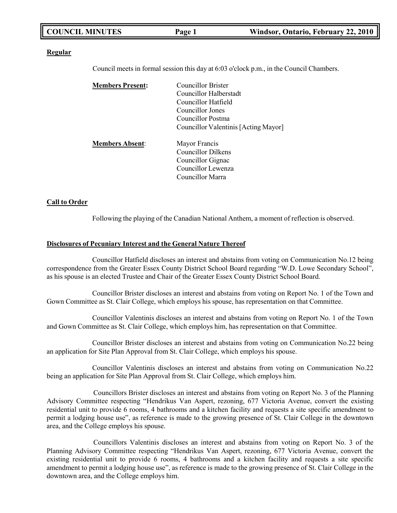| Windsor, Ontario, February 22, 2010<br>Page 1 |
|-----------------------------------------------|
|-----------------------------------------------|

#### **Regular**

Council meets in formal session this day at 6:03 o'clock p.m., in the Council Chambers.

| <b>Members Present:</b> | <b>Councillor Brister</b>            |
|-------------------------|--------------------------------------|
|                         | Councillor Halberstadt               |
|                         | Councillor Hatfield                  |
|                         | Councillor Jones                     |
|                         | Councillor Postma                    |
|                         | Councillor Valentinis [Acting Mayor] |
| <b>Members Absent:</b>  | Mayor Francis                        |
|                         | <b>Councillor Dilkens</b>            |
|                         | Councillor Gignac                    |
|                         | Councillor Lewenza                   |
|                         | Councillor Marra                     |
|                         |                                      |

#### **Call to Order**

Following the playing of the Canadian National Anthem, a moment of reflection is observed.

#### **Disclosures of Pecuniary Interest and the General Nature Thereof**

Councillor Hatfield discloses an interest and abstains from voting on Communication No.12 being correspondence from the Greater Essex County District School Board regarding "W.D. Lowe Secondary School", as his spouse is an elected Trustee and Chair of the Greater Essex County District School Board.

Councillor Brister discloses an interest and abstains from voting on Report No. 1 of the Town and Gown Committee as St. Clair College, which employs his spouse, has representation on that Committee.

Councillor Valentinis discloses an interest and abstains from voting on Report No. 1 of the Town and Gown Committee as St. Clair College, which employs him, has representation on that Committee.

Councillor Brister discloses an interest and abstains from voting on Communication No.22 being an application for Site Plan Approval from St. Clair College, which employs his spouse.

Councillor Valentinis discloses an interest and abstains from voting on Communication No.22 being an application for Site Plan Approval from St. Clair College, which employs him.

Councillors Brister discloses an interest and abstains from voting on Report No. 3 of the Planning Advisory Committee respecting "Hendrikus Van Aspert, rezoning, 677 Victoria Avenue, convert the existing residential unit to provide 6 rooms, 4 bathrooms and a kitchen facility and requests a site specific amendment to permit a lodging house use", as reference is made to the growing presence of St. Clair College in the downtown area, and the College employs his spouse.

Councillors Valentinis discloses an interest and abstains from voting on Report No. 3 of the Planning Advisory Committee respecting "Hendrikus Van Aspert, rezoning, 677 Victoria Avenue, convert the existing residential unit to provide 6 rooms, 4 bathrooms and a kitchen facility and requests a site specific amendment to permit a lodging house use", as reference is made to the growing presence of St. Clair College in the downtown area, and the College employs him.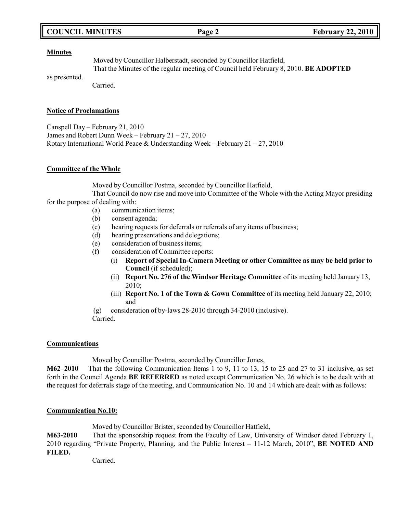# **COUNCIL MINUTES Page 2 February 22, 2010**

#### **Minutes**

Moved by Councillor Halberstadt, seconded by Councillor Hatfield, That the Minutes of the regular meeting of Council held February 8, 2010. **BE ADOPTED**

as presented.

Carried.

#### **Notice of Proclamations**

Canspell Day – February 21, 2010 James and Robert Dunn Week – February 21 – 27, 2010 Rotary International World Peace & Understanding Week – February  $21 - 27$ ,  $2010$ 

### **Committee of the Whole**

Moved by Councillor Postma, seconded by Councillor Hatfield,

That Council do now rise and move into Committee of the Whole with the Acting Mayor presiding for the purpose of dealing with:

- (a) communication items;
- (b) consent agenda;
- (c) hearing requests for deferrals or referrals of any items of business;
- (d) hearing presentations and delegations;
- (e) consideration of business items;
- (f) consideration of Committee reports:
	- (i) **Report of Special In-Camera Meeting or other Committee as may be held prior to Council** (if scheduled);
	- (ii) **Report No. 276 of the Windsor Heritage Committee** of its meeting held January 13, 2010;
	- (iii) **Report No. 1 of the Town & Gown Committee** of its meeting held January 22, 2010; and
- (g) consideration of by-laws 28-2010 through 34-2010 (inclusive).
- Carried.

### **Communications**

Moved by Councillor Postma, seconded by Councillor Jones,

**M62–2010** That the following Communication Items 1 to 9, 11 to 13, 15 to 25 and 27 to 31 inclusive, as set forth in the Council Agenda **BE REFERRED** as noted except Communication No. 26 which is to be dealt with at the request for deferrals stage of the meeting, and Communication No. 10 and 14 which are dealt with as follows:

### **Communication No.10:**

Moved by Councillor Brister, seconded by Councillor Hatfield,

**M63-2010** That the sponsorship request from the Faculty of Law, University of Windsor dated February 1, 2010 regarding "Private Property, Planning, and the Public Interest – 11-12 March, 2010", **BE NOTED AND FILED.**

Carried.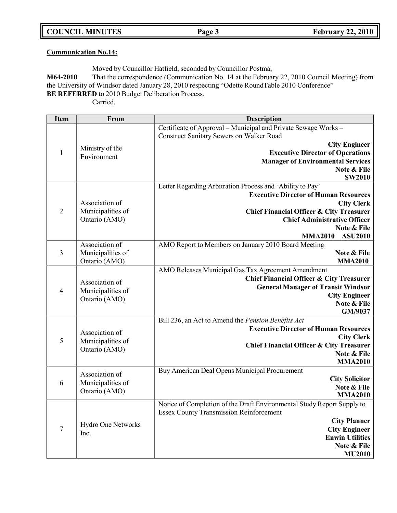**COUNCIL MINUTES Page 3 February 22, 2010**

# **Communication No.14:**

Moved by Councillor Hatfield, seconded by Councillor Postma,

**M64-2010** That the correspondence (Communication No. 14 at the February 22, 2010 Council Meeting) from the University of Windsor dated January 28, 2010 respecting "Odette RoundTable 2010 Conference" **BE REFERRED** to 2010 Budget Deliberation Process.

Carried.

| <b>Item</b>    | From               | <b>Description</b>                                                     |
|----------------|--------------------|------------------------------------------------------------------------|
|                |                    | Certificate of Approval - Municipal and Private Sewage Works -         |
|                |                    | <b>Construct Sanitary Sewers on Walker Road</b>                        |
|                | Ministry of the    | <b>City Engineer</b>                                                   |
| $\mathbf{1}$   | Environment        | <b>Executive Director of Operations</b>                                |
|                |                    | <b>Manager of Environmental Services</b>                               |
|                |                    | Note & File                                                            |
|                |                    | <b>SW2010</b>                                                          |
|                |                    | Letter Regarding Arbitration Process and 'Ability to Pay'              |
|                |                    | <b>Executive Director of Human Resources</b>                           |
|                | Association of     | <b>City Clerk</b>                                                      |
| $\overline{2}$ | Municipalities of  | <b>Chief Financial Officer &amp; City Treasurer</b>                    |
|                | Ontario (AMO)      | <b>Chief Administrative Officer</b><br>Note & File                     |
|                |                    | <b>ASU2010</b><br><b>MMA2010</b>                                       |
|                | Association of     | AMO Report to Members on January 2010 Board Meeting                    |
| 3              | Municipalities of  | Note & File                                                            |
|                | Ontario (AMO)      | <b>MMA2010</b>                                                         |
|                |                    | AMO Releases Municipal Gas Tax Agreement Amendment                     |
|                |                    | <b>Chief Financial Officer &amp; City Treasurer</b>                    |
|                | Association of     | <b>General Manager of Transit Windsor</b>                              |
| $\overline{4}$ | Municipalities of  | <b>City Engineer</b>                                                   |
|                | Ontario (AMO)      | Note & File                                                            |
|                |                    | GM/9037                                                                |
|                |                    | Bill 236, an Act to Amend the Pension Benefits Act                     |
|                | Association of     | <b>Executive Director of Human Resources</b>                           |
| 5              | Municipalities of  | <b>City Clerk</b>                                                      |
|                | Ontario (AMO)      | Chief Financial Officer & City Treasurer                               |
|                |                    | Note & File                                                            |
|                |                    | <b>MMA2010</b>                                                         |
|                | Association of     | Buy American Deal Opens Municipal Procurement                          |
| 6              | Municipalities of  | <b>City Solicitor</b><br>Note & File                                   |
|                | Ontario (AMO)      | <b>MMA2010</b>                                                         |
|                |                    | Notice of Completion of the Draft Environmental Study Report Supply to |
|                |                    | <b>Essex County Transmission Reinforcement</b>                         |
|                |                    | <b>City Planner</b>                                                    |
| $\overline{7}$ | Hydro One Networks | <b>City Engineer</b>                                                   |
|                | Inc.               | <b>Enwin Utilities</b>                                                 |
|                |                    | Note & File                                                            |
|                |                    | <b>MU2010</b>                                                          |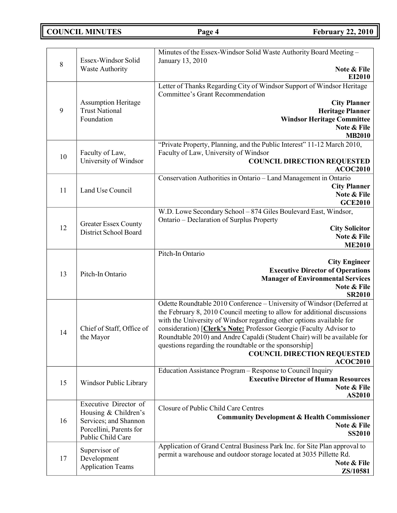# **COUNCIL MINUTES Page 4 February 22, 2010**

| 8  | Essex-Windsor Solid                           | Minutes of the Essex-Windsor Solid Waste Authority Board Meeting -<br>January 13, 2010                                                           |
|----|-----------------------------------------------|--------------------------------------------------------------------------------------------------------------------------------------------------|
|    | Waste Authority                               | Note & File<br>EI2010                                                                                                                            |
|    |                                               | Letter of Thanks Regarding City of Windsor Support of Windsor Heritage<br><b>Committee's Grant Recommendation</b>                                |
|    | <b>Assumption Heritage</b>                    | <b>City Planner</b>                                                                                                                              |
| 9  | <b>Trust National</b><br>Foundation           | <b>Heritage Planner</b><br><b>Windsor Heritage Committee</b>                                                                                     |
|    |                                               | Note & File                                                                                                                                      |
|    |                                               | <b>MB2010</b>                                                                                                                                    |
|    |                                               | "Private Property, Planning, and the Public Interest" 11-12 March 2010,                                                                          |
| 10 | Faculty of Law,<br>University of Windsor      | Faculty of Law, University of Windsor<br><b>COUNCIL DIRECTION REQUESTED</b>                                                                      |
|    |                                               | <b>ACOC2010</b>                                                                                                                                  |
|    |                                               | Conservation Authorities in Ontario - Land Management in Ontario                                                                                 |
| 11 | Land Use Council                              | <b>City Planner</b>                                                                                                                              |
|    |                                               | Note & File<br><b>GCE2010</b>                                                                                                                    |
|    |                                               | W.D. Lowe Secondary School - 874 Giles Boulevard East, Windsor,                                                                                  |
|    | <b>Greater Essex County</b>                   | Ontario - Declaration of Surplus Property                                                                                                        |
| 12 | <b>District School Board</b>                  | <b>City Solicitor</b>                                                                                                                            |
|    |                                               | Note & File<br><b>ME2010</b>                                                                                                                     |
|    |                                               | Pitch-In Ontario                                                                                                                                 |
|    |                                               | <b>City Engineer</b>                                                                                                                             |
| 13 | Pitch-In Ontario                              | <b>Executive Director of Operations</b>                                                                                                          |
|    |                                               | <b>Manager of Environmental Services</b><br>Note & File                                                                                          |
|    |                                               | <b>SR2010</b>                                                                                                                                    |
|    |                                               | Odette Roundtable 2010 Conference - University of Windsor (Deferred at                                                                           |
|    |                                               | the February 8, 2010 Council meeting to allow for additional discussions                                                                         |
|    | Chief of Staff, Office of                     | with the University of Windsor regarding other options available for<br>consideration) [Clerk's Note: Professor Georgie (Faculty Advisor to      |
| 14 | the Mayor                                     | Roundtable 2010) and Andre Capaldi (Student Chair) will be available for                                                                         |
|    |                                               | questions regarding the roundtable or the sponsorship]                                                                                           |
|    |                                               | <b>COUNCIL DIRECTION REQUESTED</b>                                                                                                               |
|    |                                               | <b>ACOC2010</b><br>Education Assistance Program - Response to Council Inquiry                                                                    |
|    |                                               | <b>Executive Director of Human Resources</b>                                                                                                     |
| 15 | Windsor Public Library                        | Note & File                                                                                                                                      |
|    |                                               | AS2010                                                                                                                                           |
|    | Executive Director of<br>Housing & Children's | Closure of Public Child Care Centres                                                                                                             |
| 16 | Services; and Shannon                         | <b>Community Development &amp; Health Commissioner</b>                                                                                           |
|    | Porcellini, Parents for                       | Note & File<br><b>SS2010</b>                                                                                                                     |
|    | Public Child Care                             |                                                                                                                                                  |
|    | Supervisor of                                 | Application of Grand Central Business Park Inc. for Site Plan approval to<br>permit a warehouse and outdoor storage located at 3035 Pillette Rd. |
| 17 | Development                                   | Note & File                                                                                                                                      |
|    | <b>Application Teams</b>                      | ZS/10581                                                                                                                                         |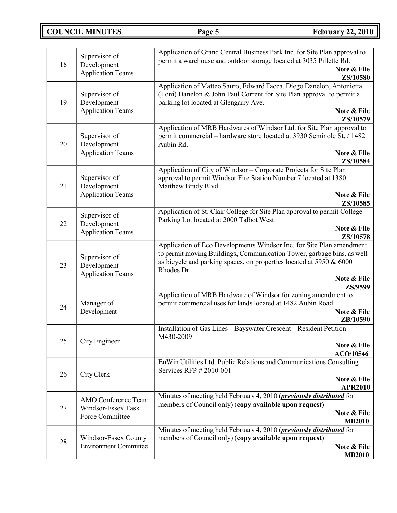**COUNCIL MINUTES Page 5 February 22, 2010**

| 18 | Supervisor of<br>Development<br><b>Application Teams</b>            | Application of Grand Central Business Park Inc. for Site Plan approval to<br>permit a warehouse and outdoor storage located at 3035 Pillette Rd.<br>Note & File                                                                                               |
|----|---------------------------------------------------------------------|---------------------------------------------------------------------------------------------------------------------------------------------------------------------------------------------------------------------------------------------------------------|
| 19 | Supervisor of<br>Development<br><b>Application Teams</b>            | ZS/10580<br>Application of Matteo Sauro, Edward Facca, Diego Danelon, Antonietta<br>(Toni) Danelon & John Paul Corrent for Site Plan approval to permit a<br>parking lot located at Glengarry Ave.<br>Note & File                                             |
| 20 | Supervisor of<br>Development<br><b>Application Teams</b>            | ZS/10579<br>Application of MRB Hardwares of Windsor Ltd. for Site Plan approval to<br>permit commercial - hardware store located at 3930 Seminole St. / 1482<br>Aubin Rd.<br>Note & File<br>ZS/10584                                                          |
| 21 | Supervisor of<br>Development<br><b>Application Teams</b>            | Application of City of Windsor - Corporate Projects for Site Plan<br>approval to permit Windsor Fire Station Number 7 located at 1380<br>Matthew Brady Blvd.<br>Note & File<br>ZS/10585                                                                       |
| 22 | Supervisor of<br>Development<br><b>Application Teams</b>            | Application of St. Clair College for Site Plan approval to permit College -<br>Parking Lot located at 2000 Talbot West<br>Note & File<br>ZS/10578                                                                                                             |
| 23 | Supervisor of<br>Development<br><b>Application Teams</b>            | Application of Eco Developments Windsor Inc. for Site Plan amendment<br>to permit moving Buildings, Communication Tower, garbage bins, as well<br>as bicycle and parking spaces, on properties located at 5950 & 6000<br>Rhodes Dr.<br>Note & File<br>ZS/9599 |
| 24 | Manager of<br>Development                                           | Application of MRB Hardware of Windsor for zoning amendment to<br>permit commercial uses for lands located at 1482 Aubin Road<br>Note & File<br>ZB/10590                                                                                                      |
| 25 | City Engineer                                                       | Installation of Gas Lines - Bayswater Crescent - Resident Petition -<br>M430-2009<br>Note & File<br>ACO/10546                                                                                                                                                 |
| 26 | City Clerk                                                          | En Win Utilities Ltd. Public Relations and Communications Consulting<br>Services RFP $#2010-001$<br>Note & File<br><b>APR2010</b>                                                                                                                             |
| 27 | <b>AMO</b> Conference Team<br>Windsor-Essex Task<br>Force Committee | Minutes of meeting held February 4, 2010 ( <i>previously distributed</i> for<br>members of Council only) (copy available upon request)<br>Note & File<br><b>MB2010</b>                                                                                        |
| 28 | Windsor-Essex County<br><b>Environment Committee</b>                | Minutes of meeting held February 4, 2010 ( <i>previously distributed</i> for<br>members of Council only) (copy available upon request)<br>Note & File<br><b>MB2010</b>                                                                                        |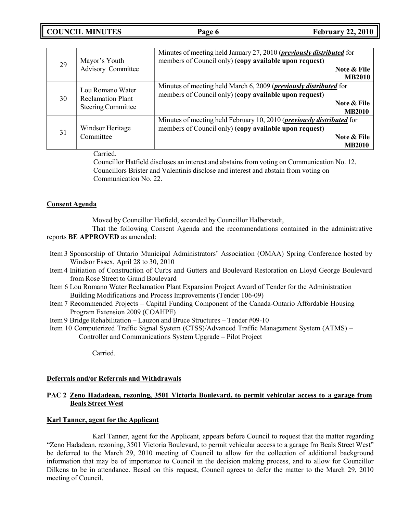**COUNCIL MINUTES Page 6 February 22, 2010**

| 29 | Mayor's Youth<br><b>Advisory Committee</b>                                | Minutes of meeting held January 27, 2010 ( <i>previously distributed</i> for<br>members of Council only) (copy available upon request)                                  |
|----|---------------------------------------------------------------------------|-------------------------------------------------------------------------------------------------------------------------------------------------------------------------|
|    |                                                                           | Note & File<br><b>MB2010</b>                                                                                                                                            |
| 30 | Lou Romano Water<br><b>Reclamation Plant</b><br><b>Steering Committee</b> | Minutes of meeting held March 6, 2009 ( <i>previously distributed</i> for<br>members of Council only) (copy available upon request)<br>Note & File<br><b>MB2010</b>     |
| 31 | Windsor Heritage<br>Committee                                             | Minutes of meeting held February 10, 2010 ( <i>previously distributed</i> for<br>members of Council only) (copy available upon request)<br>Note & File<br><b>MB2010</b> |

Carried.

Councillor Hatfield discloses an interest and abstains from voting on Communication No. 12. Councillors Brister and Valentinis disclose and interest and abstain from voting on Communication No. 22.

### **Consent Agenda**

Moved by Councillor Hatfield, seconded by Councillor Halberstadt,

That the following Consent Agenda and the recommendations contained in the administrative reports **BE APPROVED** as amended:

- Item 3 Sponsorship of Ontario Municipal Administrators' Association (OMAA) Spring Conference hosted by Windsor Essex, April 28 to 30, 2010
- Item 4 Initiation of Construction of Curbs and Gutters and Boulevard Restoration on Lloyd George Boulevard from Rose Street to Grand Boulevard
- Item 6 Lou Romano Water Reclamation Plant Expansion Project Award of Tender for the Administration Building Modifications and Process Improvements (Tender 106-09)
- Item 7 Recommended Projects Capital Funding Component of the Canada-Ontario Affordable Housing Program Extension 2009 (COAHPE)
- Item 9 Bridge Rehabilitation Lauzon and Bruce Structures Tender #09-10
- Item 10 Computerized Traffic Signal System (CTSS)/Advanced Traffic Management System (ATMS) Controller and Communications System Upgrade – Pilot Project

Carried.

### **Deferrals and/or Referrals and Withdrawals**

## **PAC 2 Zeno Hadadean, rezoning, 3501 Victoria Boulevard, to permit vehicular access to a garage from Beals Street West**

### **Karl Tanner, agent for the Applicant**

Karl Tanner, agent for the Applicant, appears before Council to request that the matter regarding "Zeno Hadadean, rezoning, 3501 Victoria Boulevard, to permit vehicular access to a garage fro Beals Street West" be deferred to the March 29, 2010 meeting of Council to allow for the collection of additional background information that may be of importance to Council in the decision making process, and to allow for Councillor Dilkens to be in attendance. Based on this request, Council agrees to defer the matter to the March 29, 2010 meeting of Council.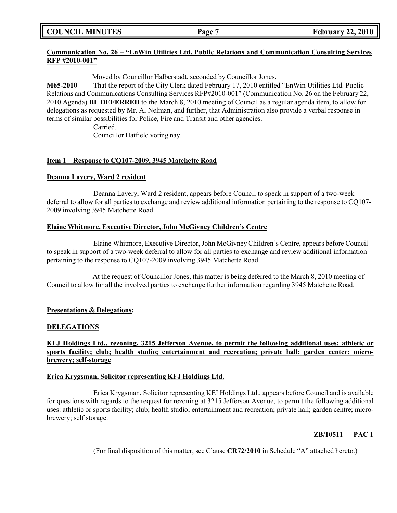**COUNCIL MINUTES Page 7 February 22, 2010**

# **Communication No. 26 – "EnWin Utilities Ltd. Public Relations and Communication Consulting Services RFP #2010-001"**

Moved by Councillor Halberstadt, seconded by Councillor Jones,

**M65-2010** That the report of the City Clerk dated February 17, 2010 entitled "EnWin Utilities Ltd. Public Relations and Communications Consulting Services RFP#2010-001" (Communication No. 26 on the February 22, 2010 Agenda) **BE DEFERRED** to the March 8, 2010 meeting of Council as a regular agenda item, to allow for delegations as requested by Mr. Al Nelman, and further, that Administration also provide a verbal response in terms of similar possibilities for Police, Fire and Transit and other agencies.

> Carried. Councillor Hatfield voting nay.

## **Item 1 – Response to CQ107-2009, 3945 Matchette Road**

### **Deanna Lavery, Ward 2 resident**

Deanna Lavery, Ward 2 resident, appears before Council to speak in support of a two-week deferral to allow for all parties to exchange and review additional information pertaining to the response to CQ107- 2009 involving 3945 Matchette Road.

### **Elaine Whitmore, Executive Director, John McGivney Children's Centre**

Elaine Whitmore, Executive Director, John McGivney Children's Centre, appears before Council to speak in support of a two-week deferral to allow for all parties to exchange and review additional information pertaining to the response to CQ107-2009 involving 3945 Matchette Road.

At the request of Councillor Jones, this matter is being deferred to the March 8, 2010 meeting of Council to allow for all the involved parties to exchange further information regarding 3945 Matchette Road.

### **Presentations & Delegations:**

#### **DELEGATIONS**

**KFJ Holdings Ltd., rezoning, 3215 Jefferson Avenue, to permit the following additional uses: athletic or sports facility; club; health studio; entertainment and recreation; private hall; garden center; microbrewery; self-storage**

#### **Erica Krygsman, Solicitor representing KFJ Holdings Ltd.**

Erica Krygsman, Solicitor representing KFJ Holdings Ltd., appears before Council and is available for questions with regards to the request for rezoning at 3215 Jefferson Avenue, to permit the following additional uses: athletic or sports facility; club; health studio; entertainment and recreation; private hall; garden centre; microbrewery; self storage.

# **ZB/10511 PAC 1**

(For final disposition of this matter, see Clause **CR72/2010** in Schedule "A" attached hereto.)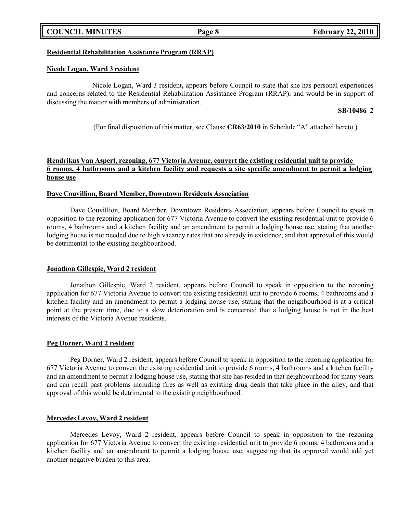### **COUNCIL MINUTES Page 8 February 22, 2010**

# **Residential Rehabilitation Assistance Program (RRAP)**

# **Nicole Logan, Ward 3 resident**

Nicole Logan, Ward 3 resident**,** appears before Council to state that she has personal experiences and concerns related to the Residential Rehabilitation Assistance Program (RRAP), and would be in support of discussing the matter with members of administration.

# **SB/10486 2**

(For final disposition of this matter, see Clause **CR63/2010** in Schedule "A" attached hereto.)

# **Hendrikus Van Aspert, rezoning, 677 Victoria Avenue, convert the existing residential unit to provide** 6 rooms, 4 bathrooms and a kitchen facility and requests a site specific amendment to permit a lodging **house use**

# **Dave Couvillion, Board Member, Downtown Residents Association**

Dave Couvillion, Board Member, Downtown Residents Association, appears before Council to speak in opposition to the rezoning application for 677 Victoria Avenue to convert the existing residential unit to provide 6 rooms, 4 bathrooms and a kitchen facility and an amendment to permit a lodging house use, stating that another lodging house is not needed due to high vacancy rates that are already in existence, and that approval of this would be detrimental to the existing neighbourhood.

# **Jonathon Gillespie, Ward 2 resident**

Jonathon Gillespie, Ward 2 resident, appears before Council to speak in opposition to the rezoning application for 677 Victoria Avenue to convert the existing residential unit to provide 6 rooms, 4 bathrooms and a kitchen facility and an amendment to permit a lodging house use, stating that the neighbourhood is at a critical point at the present time, due to a slow deterioration and is concerned that a lodging house is not in the best interests of the Victoria Avenue residents.

# **Peg Dorner, Ward 2 resident**

Peg Dorner, Ward 2 resident, appears before Council to speak in opposition to the rezoning application for 677 Victoria Avenue to convert the existing residential unit to provide 6 rooms, 4 bathrooms and a kitchen facility and an amendment to permit a lodging house use, stating that she has resided in that neighbourhood for many years and can recall past problems including fires as well as existing drug deals that take place in the alley, and that approval of this would be detrimental to the existing neighbourhood.

# **Mercedes Levoy, Ward 2 resident**

Mercedes Levoy, Ward 2 resident, appears before Council to speak in opposition to the rezoning application for 677 Victoria Avenue to convert the existing residential unit to provide 6 rooms, 4 bathrooms and a kitchen facility and an amendment to permit a lodging house use, suggesting that its approval would add yet another negative burden to this area.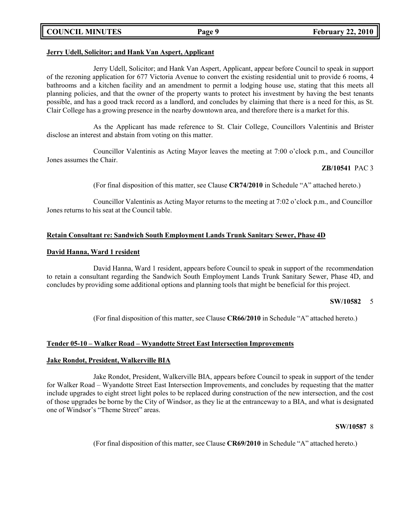## **COUNCIL MINUTES Page 9 February 22, 2010**

#### **Jerry Udell, Solicitor; and Hank Van Aspert, Applicant**

Jerry Udell, Solicitor; and Hank Van Aspert, Applicant, appear before Council to speak in support of the rezoning application for 677 Victoria Avenue to convert the existing residential unit to provide 6 rooms, 4 bathrooms and a kitchen facility and an amendment to permit a lodging house use, stating that this meets all planning policies, and that the owner of the property wants to protect his investment by having the best tenants possible, and has a good track record as a landlord, and concludes by claiming that there is a need for this, as St. Clair College has a growing presence in the nearby downtown area, and therefore there is a market for this.

As the Applicant has made reference to St. Clair College, Councillors Valentinis and Brister disclose an interest and abstain from voting on this matter.

Councillor Valentinis as Acting Mayor leaves the meeting at 7:00 o'clock p.m., and Councillor Jones assumes the Chair.

#### **ZB/10541** PAC 3

(For final disposition of this matter, see Clause **CR74/2010** in Schedule "A" attached hereto.)

Councillor Valentinis as Acting Mayor returns to the meeting at 7:02 o'clock p.m., and Councillor Jones returns to his seat at the Council table.

### **Retain Consultant re: Sandwich South Employment Lands Trunk Sanitary Sewer, Phase 4D**

#### **David Hanna, Ward 1 resident**

David Hanna, Ward 1 resident, appears before Council to speak in support of the recommendation to retain a consultant regarding the Sandwich South Employment Lands Trunk Sanitary Sewer, Phase 4D, and concludes by providing some additional options and planning tools that might be beneficial for this project.

#### **SW/10582** 5

(For final disposition of this matter, see Clause **CR66/2010** in Schedule "A" attached hereto.)

### **Tender 05-10 – Walker Road – Wyandotte Street East Intersection Improvements**

#### **Jake Rondot, President, Walkerville BIA**

Jake Rondot, President, Walkerville BIA, appears before Council to speak in support of the tender for Walker Road – Wyandotte Street East Intersection Improvements, and concludes by requesting that the matter include upgrades to eight street light poles to be replaced during construction of the new intersection, and the cost of those upgrades be borne by the City of Windsor, as they lie at the entranceway to a BIA, and what is designated one of Windsor's "Theme Street" areas.

#### **SW/10587** 8

(For final disposition of this matter, see Clause **CR69/2010** in Schedule "A" attached hereto.)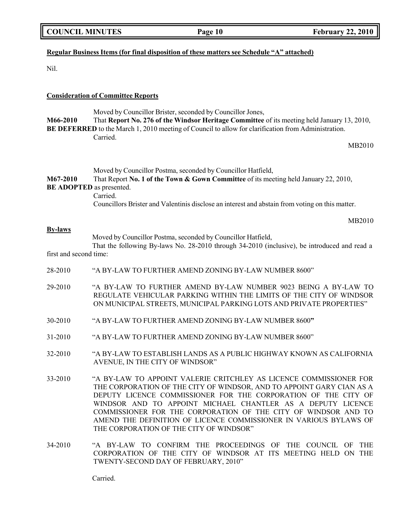| <b>COUNCIL MINUTES</b> |  |
|------------------------|--|
|------------------------|--|

# **Regular Business Items (for final disposition of these matters see Schedule "A" attached)**

Nil.

### **Consideration of Committee Reports**

Moved by Councillor Brister, seconded by Councillor Jones, **M66-2010** That **Report No. 276 of the Windsor Heritage Committee** of its meeting held January 13, 2010, **BE DEFERRED** to the March 1, 2010 meeting of Council to allow for clarification from Administration. Carried.

MB2010

Moved by Councillor Postma, seconded by Councillor Hatfield, **M67-2010** That Report **No. 1 of the Town & Gown Committee** of its meeting held January 22, 2010, **BE ADOPTED** as presented. Carried. Councillors Brister and Valentinis disclose an interest and abstain from voting on this matter.

MB2010

#### **By-laws**

Moved by Councillor Postma, seconded by Councillor Hatfield,

That the following By-laws No. 28-2010 through 34-2010 (inclusive), be introduced and read a first and second time:

- 28-2010 "A BY-LAW TO FURTHER AMEND ZONING BY-LAW NUMBER 8600"
- 29-2010 "A BY-LAW TO FURTHER AMEND BY-LAW NUMBER 9023 BEING A BY-LAW TO REGULATE VEHICULAR PARKING WITHIN THE LIMITS OF THE CITY OF WINDSOR ON MUNICIPAL STREETS, MUNICIPAL PARKING LOTS AND PRIVATE PROPERTIES"
- 30-2010 "A BY-LAW TO FURTHER AMEND ZONING BY-LAW NUMBER 8600**"**
- 31-2010 "A BY-LAW TO FURTHER AMEND ZONING BY-LAW NUMBER 8600"
- 32-2010 "A BY-LAW TO ESTABLISH LANDS AS A PUBLIC HIGHWAY KNOWN AS CALIFORNIA AVENUE, IN THE CITY OF WINDSOR"
- 33-2010 "A BY-LAW TO APPOINT VALERIE CRITCHLEY AS LICENCE COMMISSIONER FOR THE CORPORATION OF THE CITY OF WINDSOR, AND TO APPOINT GARY CIAN AS A DEPUTY LICENCE COMMISSIONER FOR THE CORPORATION OF THE CITY OF WINDSOR AND TO APPOINT MICHAEL CHANTLER AS A DEPUTY LICENCE COMMISSIONER FOR THE CORPORATION OF THE CITY OF WINDSOR AND TO AMEND THE DEFINITION OF LICENCE COMMISSIONER IN VARIOUS BYLAWS OF THE CORPORATION OF THE CITY OF WINDSOR"
- 34-2010 "A BY-LAW TO CONFIRM THE PROCEEDINGS OF THE COUNCIL OF THE CORPORATION OF THE CITY OF WINDSOR AT ITS MEETING HELD ON THE TWENTY-SECOND DAY OF FEBRUARY, 2010"

Carried.

**COUNCIL EXECUTE: Page 10 Page** 10 **February** 22, 2010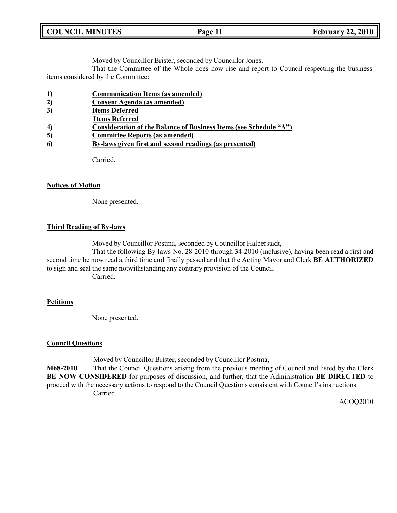| <b>COUNCIL MINUTES</b> | Page 11 | <b>February 22, 2010</b> |
|------------------------|---------|--------------------------|
|                        |         |                          |

Moved by Councillor Brister, seconded by Councillor Jones,

That the Committee of the Whole does now rise and report to Council respecting the business items considered by the Committee:

- **1) Communication Items (as amended)**
- **2) Consent Agenda (as amended)**
- **3) Items Deferred**
- **Items Referred**
- **4) Consideration of the Balance of Business Items (see Schedule "A")**
- **5) Committee Reports (as amended)**
- **6) By-laws given first and second readings (as presented)**

Carried.

#### **Notices of Motion**

None presented.

#### **Third Reading of By-laws**

Moved by Councillor Postma, seconded by Councillor Halberstadt,

That the following By-laws No. 28-2010 through 34-2010 (inclusive), having been read a first and second time be now read a third time and finally passed and that the Acting Mayor and Clerk **BE AUTHORIZED** to sign and seal the same notwithstanding any contrary provision of the Council.

Carried.

#### **Petitions**

None presented.

### **Council Questions**

Moved by Councillor Brister, seconded by Councillor Postma,

**M68-2010** That the Council Questions arising from the previous meeting of Council and listed by the Clerk **BE NOW CONSIDERED** for purposes of discussion, and further, that the Administration **BE DIRECTED** to proceed with the necessary actions to respond to the Council Questions consistent with Council's instructions. Carried.

ACOQ2010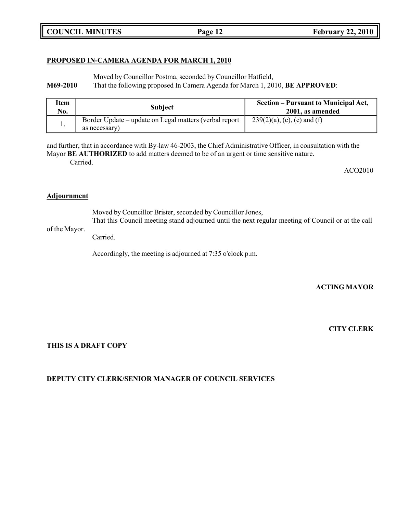# **COUNCIL MINUTES Page 12 February 22, 2010**

#### **PROPOSED IN-CAMERA AGENDA FOR MARCH 1, 2010**

Moved by Councillor Postma, seconded by Councillor Hatfield,

**M69-2010** That the following proposed In Camera Agenda for March 1, 2010, **BE APPROVED**:

| Item<br>No. | <b>Subject</b>                                                          | Section – Pursuant to Municipal Act,<br>2001, as amended |
|-------------|-------------------------------------------------------------------------|----------------------------------------------------------|
|             | Border Update – update on Legal matters (verbal report<br>as necessary) | $239(2)(a)$ , (c), (e) and (f)                           |

and further, that in accordance with By-law 46-2003, the Chief Administrative Officer, in consultation with the Mayor **BE AUTHORIZED** to add matters deemed to be of an urgent or time sensitive nature. Carried.

ACO2010

#### **Adjournment**

Moved by Councillor Brister, seconded by Councillor Jones,

of the Mayor. That this Council meeting stand adjourned until the next regular meeting of Council or at the call

Carried.

Accordingly, the meeting is adjourned at 7:35 o'clock p.m.

**ACTING MAYOR**

**CITY CLERK**

### **THIS IS A DRAFT COPY**

### **DEPUTY CITY CLERK/SENIOR MANAGER OF COUNCIL SERVICES**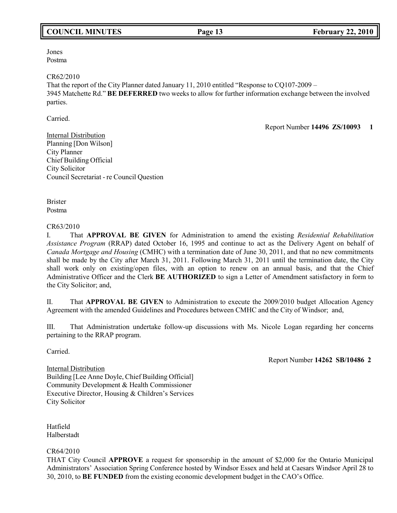# **COUNCIL MINUTES Page 13 February 22, 2010**

#### Jones Postma

#### CR62/2010

That the report of the City Planner dated January 11, 2010 entitled "Response to CQ107-2009 – 3945 Matchette Rd." **BE DEFERRED** two weeks to allow for further information exchange between the involved parties.

Carried.

Report Number **14496 ZS/10093 1**

Internal Distribution Planning [Don Wilson] City Planner Chief Building Official City Solicitor Council Secretariat - re Council Question

Brister Postma

### CR63/2010

I. That **APPROVAL BE GIVEN** for Administration to amend the existing *Residential Rehabilitation Assistance Program* (RRAP) dated October 16, 1995 and continue to act as the Delivery Agent on behalf of *Canada Mortgage and Housing* (CMHC) with a termination date of June 30, 2011, and that no new commitments shall be made by the City after March 31, 2011. Following March 31, 2011 until the termination date, the City shall work only on existing/open files, with an option to renew on an annual basis, and that the Chief Administrative Officer and the Clerk **BE AUTHORIZED** to sign a Letter of Amendment satisfactory in form to the City Solicitor; and,

II. That **APPROVAL BE GIVEN** to Administration to execute the 2009/2010 budget Allocation Agency Agreement with the amended Guidelines and Procedures between CMHC and the City of Windsor; and,

III. That Administration undertake follow-up discussions with Ms. Nicole Logan regarding her concerns pertaining to the RRAP program.

Carried.

Internal Distribution

Report Number **14262 SB/10486 2**

Building [Lee Anne Doyle, Chief Building Official] Community Development & Health Commissioner Executive Director, Housing & Children's Services City Solicitor

Hatfield Halberstadt

### CR64/2010

THAT City Council **APPROVE** a request for sponsorship in the amount of \$2,000 for the Ontario Municipal Administrators' Association Spring Conference hosted by Windsor Essex and held at Caesars Windsor April 28 to 30, 2010, to **BE FUNDED** from the existing economic development budget in the CAO's Office.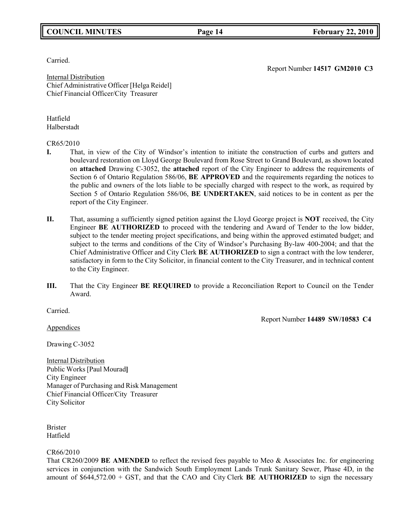# **COUNCIL MINUTES Page 14 February 22, 2010**

Carried.

Report Number **14517 GM2010 C3**

Report Number **14489 SW/10583 C4**

Internal Distribution Chief Administrative Officer [Helga Reidel] Chief Financial Officer/City Treasurer

Hatfield Halberstadt

#### CR65/2010

- **I.** That, in view of the City of Windsor's intention to initiate the construction of curbs and gutters and boulevard restoration on Lloyd George Boulevard from Rose Street to Grand Boulevard, as shown located on **attached** Drawing C-3052, the **attached** report of the City Engineer to address the requirements of Section 6 of Ontario Regulation 586/06, **BE APPROVED** and the requirements regarding the notices to the public and owners of the lots liable to be specially charged with respect to the work, as required by Section 5 of Ontario Regulation 586/06, **BE UNDERTAKEN**, said notices to be in content as per the report of the City Engineer.
- **II.** That, assuming a sufficiently signed petition against the Lloyd George project is **NOT** received, the City Engineer **BE AUTHORIZED** to proceed with the tendering and Award of Tender to the low bidder, subject to the tender meeting project specifications, and being within the approved estimated budget; and subject to the terms and conditions of the City of Windsor's Purchasing By-law 400-2004; and that the Chief Administrative Officer and City Clerk **BE AUTHORIZED** to sign a contract with the low tenderer, satisfactory in form to the City Solicitor, in financial content to the City Treasurer, and in technical content to the City Engineer.
- **III.** That the City Engineer **BE REQUIRED** to provide a Reconciliation Report to Council on the Tender Award.

Carried.

**Appendices** 

Drawing C-3052

Internal Distribution Public Works [Paul Mourad**]** City Engineer Manager of Purchasing and Risk Management Chief Financial Officer/City Treasurer City Solicitor

Brister Hatfield

### CR66/2010

That CR260/2009 **BE AMENDED** to reflect the revised fees payable to Meo & Associates Inc. for engineering services in conjunction with the Sandwich South Employment Lands Trunk Sanitary Sewer, Phase 4D, in the amount of \$644,572.00 + GST, and that the CAO and City Clerk **BE AUTHORIZED** to sign the necessary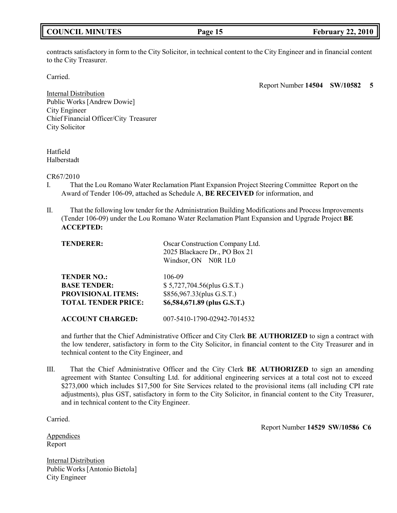# **COUNCIL MINUTES Page 15 February 22, 2010**

contracts satisfactory in form to the City Solicitor, in technical content to the City Engineer and in financial content to the City Treasurer.

Carried.

Report Number **14504 SW/10582 5**

Internal Distribution Public Works [Andrew Dowie] City Engineer Chief Financial Officer/City Treasurer City Solicitor

Hatfield Halberstadt

CR67/2010

- I. That the Lou Romano Water Reclamation Plant Expansion Project Steering Committee Report on the Award of Tender 106-09, attached as Schedule A, **BE RECEIVED** for information, and
- II. That the following low tender for the Administration Building Modifications and Process Improvements (Tender 106-09) under the Lou Romano Water Reclamation Plant Expansion and Upgrade Project **BE ACCEPTED:**

| <b>TENDERER:</b>           | Oscar Construction Company Ltd.<br>2025 Blackacre Dr., PO Box 21<br>Windsor, ON N0R 1L0 |
|----------------------------|-----------------------------------------------------------------------------------------|
| <b>TENDER NO.:</b>         | 106-09                                                                                  |
| <b>BASE TENDER:</b>        | \$5,727,704.56(plus G.S.T.)                                                             |
| <b>PROVISIONAL ITEMS:</b>  | \$856,967.33(plus G.S.T.)                                                               |
| <b>TOTAL TENDER PRICE:</b> | \$6,584,671.89 (plus G.S.T.)                                                            |
| <b>ACCOUNT CHARGED:</b>    | 007-5410-1790-02942-7014532                                                             |

and further that the Chief Administrative Officer and City Clerk **BE AUTHORIZED** to sign a contract with the low tenderer, satisfactory in form to the City Solicitor, in financial content to the City Treasurer and in technical content to the City Engineer, and

III. That the Chief Administrative Officer and the City Clerk **BE AUTHORIZED** to sign an amending agreement with Stantec Consulting Ltd. for additional engineering services at a total cost not to exceed \$273,000 which includes \$17,500 for Site Services related to the provisional items (all including CPI rate adjustments), plus GST, satisfactory in form to the City Solicitor, in financial content to the City Treasurer, and in technical content to the City Engineer.

Carried.

Report Number **14529 SW/10586 C6**

**Appendices** Report

Internal Distribution Public Works[Antonio Bietola] City Engineer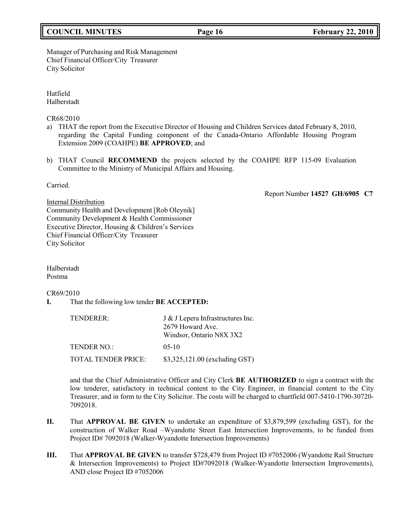# **COUNCIL MINUTES Page 16 February 22, 2010**

#### Manager of Purchasing and Risk Management Chief Financial Officer/City Treasurer City Solicitor

Hatfield Halberstadt

CR68/2010

- a) THAT the report from the Executive Director of Housing and Children Services dated February 8, 2010, regarding the Capital Funding component of the Canada-Ontario Affordable Housing Program Extension 2009 (COAHPE) **BE APPROVED**; and
- b) THAT Council **RECOMMEND** the projects selected by the COAHPE RFP 115-09 Evaluation Committee to the Ministry of Municipal Affairs and Housing.

Carried.

Report Number **14527 GH/6905 C7**

Internal Distribution Community Health and Development [Rob Oleynik] Community Development & Health Commissioner Executive Director, Housing & Children's Services Chief Financial Officer/City Treasurer City Solicitor

Halberstadt Postma

CR69/2010

**I.** That the following low tender **BE ACCEPTED:**

<span id="page-15-0"></span>

| TENDERER:           | J & J Lepera Infrastructures Inc.<br>2679 Howard Ave.<br>Windsor, Ontario N8X 3X2 |
|---------------------|-----------------------------------------------------------------------------------|
| <b>TENDER NO.:</b>  | $0.5 - 10$                                                                        |
| TOTAL TENDER PRICE: | \$3,325,121.00 (excluding GST)                                                    |

and that the Chief Administrative Officer and City Clerk **BE AUTHORIZED** to sign a contract with the low tenderer, satisfactory in technical content to the City Engineer, in financial content to the City Treasurer, and in form to the City Solicitor. The costs will be charged to chartfield 007-5410-1790-30720- 7092018.

- **II.** That **APPROVAL BE GIVEN** to undertake an expenditure of \$3,879,599 (excluding GST), for the construction of Walker Road –Wyandotte Street East Intersection Improvements, to be funded from Project ID# 7092018 (Walker-Wyandotte Intersection Improvements)
- **III.** That **APPROVAL BE GIVEN** to transfer \$728,479 from Project ID #7052006 (Wyandotte Rail Structure & Intersection Improvements) to Project ID#7092018 (Walker-Wyandotte Intersection Improvements), AND close Project ID #7052006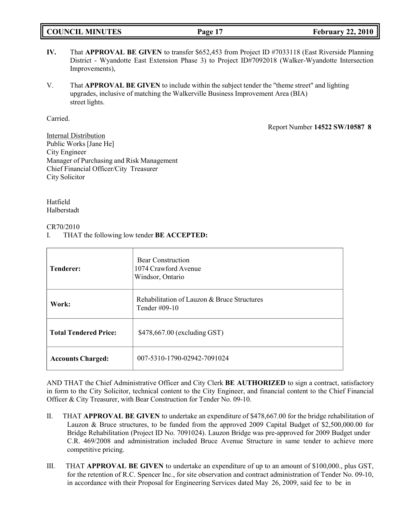### **IV.** That **APPROVAL BE GIVEN** to transfer \$652,453 from Project ID #7033118 (East Riverside Planning District - Wyandotte East Extension Phase 3) to Project ID#7092018 (Walker-Wyandotte Intersection Improvements),

V. That **APPROVAL BE GIVEN** to include within the subject tender the "theme street" and lighting upgrades, inclusive of matching the Walkerville Business Improvement Area (BIA) street lights.

Carried.

Report Number **14522 SW/10587 8**

**COUNCIL EXECUTE: Page 17 February** 22, 2010

Internal Distribution Public Works [Jane He] City Engineer Manager of Purchasing and Risk Management Chief Financial Officer/City Treasurer City Solicitor

Hatfield Halberstadt

CR70/2010

I. THAT the following low tender **BE ACCEPTED:**

| <b>Tenderer:</b>             | <b>Bear Construction</b><br>1074 Crawford Avenue<br>Windsor, Ontario |  |
|------------------------------|----------------------------------------------------------------------|--|
| Work:                        | Rehabilitation of Lauzon & Bruce Structures<br>Tender $\#09-10$      |  |
| <b>Total Tendered Price:</b> | \$478,667.00 (excluding GST)                                         |  |
| <b>Accounts Charged:</b>     | 007-5310-1790-02942-7091024                                          |  |

AND THAT the Chief Administrative Officer and City Clerk **BE AUTHORIZED** to sign a contract, satisfactory in form to the City Solicitor, technical content to the City Engineer, and financial content to the Chief Financial Officer & City Treasurer, with Bear Construction for Tender No. 09-10.

- II. THAT **APPROVAL BE GIVEN** to undertake an expenditure of \$478,667.00 for the bridge rehabilitation of Lauzon & Bruce structures, to be funded from the approved 2009 Capital Budget of \$2,500,000.00 for Bridge Rehabilitation (Project ID No. 7091024). Lauzon Bridge was pre-approved for 2009 Budget under C.R. 469/2008 and administration included Bruce Avenue Structure in same tender to achieve more competitive pricing.
- III. THAT **APPROVAL BE GIVEN** to undertake an expenditure of up to an amount of \$100,000., plus GST, for the retention of R.C. Spencer Inc., for site observation and contract administration of Tender No. 09-10, in accordance with their Proposal for Engineering Services dated May 26, 2009, said fee to be in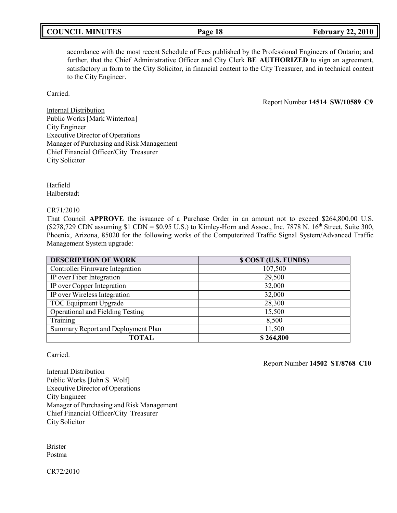# **COUNCIL MINUTES Page 18 February 22, 2010**

# accordance with the most recent Schedule of Fees published by the Professional Engineers of Ontario; and further, that the Chief Administrative Officer and City Clerk **BE AUTHORIZED** to sign an agreement, satisfactory in form to the City Solicitor, in financial content to the City Treasurer, and in technical content to the City Engineer.

Carried.

Report Number **14514 SW/10589 C9**

Internal Distribution Public Works[Mark Winterton] City Engineer Executive Director of Operations Manager of Purchasing and Risk Management Chief Financial Officer/City Treasurer City Solicitor

Hatfield Halberstadt

CR71/2010

That Council **APPROVE** the issuance of a Purchase Order in an amount not to exceed \$264,800.00 U.S.  $(S278,729 \text{ CDN assuming } $1 \text{ CDN} = $0.95 \text{ U.S.})$  to Kimley-Horn and Assoc., Inc. 7878 N. 16<sup>th</sup> Street, Suite 300, Phoenix, Arizona, 85020 for the following works of the Computerized Traffic Signal System/Advanced Traffic Management System upgrade:

| <b>DESCRIPTION OF WORK</b>              | \$ COST (U.S. FUNDS) |
|-----------------------------------------|----------------------|
| <b>Controller Firmware Integration</b>  | 107,500              |
| IP over Fiber Integration               | 29,500               |
| IP over Copper Integration              | 32,000               |
| IP over Wireless Integration            | 32,000               |
| TOC Equipment Upgrade                   | 28,300               |
| <b>Operational and Fielding Testing</b> | 15,500               |
| Training                                | 8,500                |
| Summary Report and Deployment Plan      | 11,500               |
| <b>TOTAL</b>                            | \$264,800            |

Carried.

Report Number **14502 ST/8768 C10**

Internal Distribution Public Works [John S. Wolf] Executive Director of Operations City Engineer Manager of Purchasing and Risk Management Chief Financial Officer/City Treasurer City Solicitor

Brister Postma

CR72/2010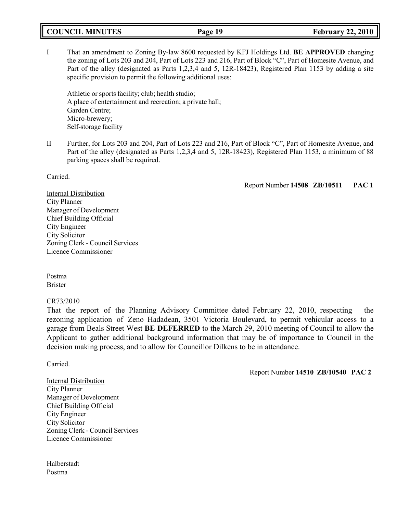# **COUNCIL MINUTES Page 19 February 22, 2010**

I That an amendment to Zoning By-law 8600 requested by KFJ Holdings Ltd. **BE APPROVED** changing the zoning of Lots 203 and 204, Part of Lots 223 and 216, Part of Block "C", Part of Homesite Avenue, and Part of the alley (designated as Parts 1,2,3,4 and 5, 12R-18423), Registered Plan 1153 by adding a site specific provision to permit the following additional uses:

Athletic or sports facility; club; health studio; A place of entertainment and recreation; a private hall; Garden Centre; Micro-brewery; Self-storage facility

II Further, for Lots 203 and 204, Part of Lots 223 and 216, Part of Block "C", Part of Homesite Avenue, and Part of the alley (designated as Parts 1,2,3,4 and 5, 12R-18423), Registered Plan 1153, a minimum of 88 parking spaces shall be required.

Carried.

Report Number **14508 ZB/10511 PAC 1**

Internal Distribution City Planner Manager of Development Chief Building Official City Engineer City Solicitor Zoning Clerk - Council Services Licence Commissioner

Postma Brister

### CR73/2010

That the report of the Planning Advisory Committee dated February 22, 2010, respecting the rezoning application of Zeno Hadadean, 3501 Victoria Boulevard, to permit vehicular access to a garage from Beals Street West **BE DEFERRED** to the March 29, 2010 meeting of Council to allow the Applicant to gather additional background information that may be of importance to Council in the decision making process, and to allow for Councillor Dilkens to be in attendance.

Carried.

Report Number **14510 ZB/10540 PAC 2**

Internal Distribution City Planner Manager of Development Chief Building Official City Engineer City Solicitor Zoning Clerk - Council Services Licence Commissioner

Halberstadt Postma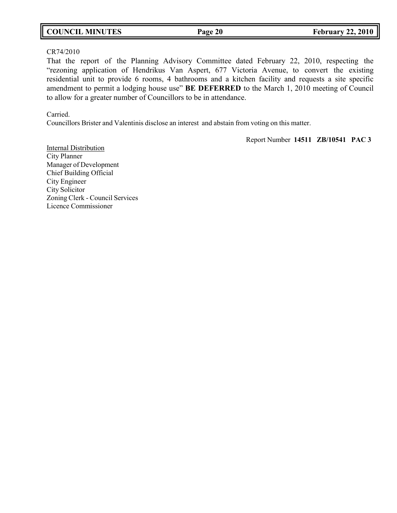# **COUNCIL MINUTES Page 20 February 22, 2010**

#### CR74/2010

That the report of the Planning Advisory Committee dated February 22, 2010, respecting the "rezoning application of Hendrikus Van Aspert, 677 Victoria Avenue, to convert the existing residential unit to provide 6 rooms, 4 bathrooms and a kitchen facility and requests a site specific amendment to permit a lodging house use" **BE DEFERRED** to the March 1, 2010 meeting of Council to allow for a greater number of Councillors to be in attendance.

### Carried.

Councillors Brister and Valentinis disclose an interest and abstain from voting on this matter.

Report Number **14511 ZB/10541 PAC 3**

Internal Distribution City Planner Manager of Development Chief Building Official City Engineer City Solicitor Zoning Clerk - Council Services Licence Commissioner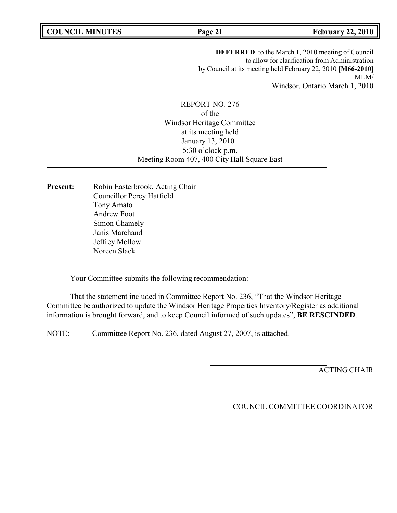**COUNCIL MINUTES Page 21 February 22, 2010**

**DEFERRED** to the March 1, 2010 meeting of Council to allow for clarification from Administration by Council at its meeting held February 22, 2010 **[M66-2010]** MLM/ Windsor, Ontario March 1, 2010

REPORT NO. 276 of the Windsor Heritage Committee at its meeting held January 13, 2010 5:30 o'clock p.m. Meeting Room 407, 400 City Hall Square East

Present: Robin Easterbrook, Acting Chair Councillor Percy Hatfield Tony Amato Andrew Foot Simon Chamely Janis Marchand Jeffrey Mellow Noreen Slack

Your Committee submits the following recommendation:

That the statement included in Committee Report No. 236, "That the Windsor Heritage Committee be authorized to update the Windsor Heritage Properties Inventory/Register as additional information is brought forward, and to keep Council informed of such updates", **BE RESCINDED**.

NOTE: Committee Report No. 236, dated August 27, 2007, is attached.

ACTING CHAIR

COUNCIL COMMITTEE COORDINATOR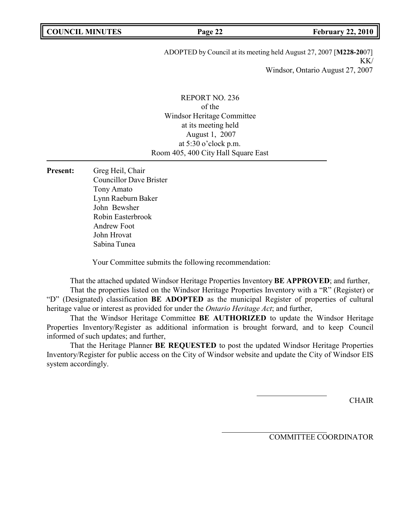ADOPTED by Council at its meeting held August 27, 2007 [**M228-20**07] KK/ Windsor, Ontario August 27, 2007

REPORT NO. 236 of the Windsor Heritage Committee at its meeting held August 1, 2007 at 5:30 o'clock p.m. Room 405, 400 City Hall Square East

**Present:** Greg Heil, Chair Councillor Dave Brister Tony Amato Lynn Raeburn Baker John Bewsher Robin Easterbrook Andrew Foot John Hrovat Sabina Tunea

Your Committee submits the following recommendation:

That the attached updated Windsor Heritage Properties Inventory **BE APPROVED**; and further,

That the properties listed on the Windsor Heritage Properties Inventory with a "R" (Register) or "D" (Designated) classification **BE ADOPTED** as the municipal Register of properties of cultural heritage value or interest as provided for under the *Ontario Heritage Act*; and further,

That the Windsor Heritage Committee **BE AUTHORIZED** to update the Windsor Heritage Properties Inventory/Register as additional information is brought forward, and to keep Council informed of such updates; and further,

That the Heritage Planner **BE REQUESTED** to post the updated Windsor Heritage Properties Inventory/Register for public access on the City of Windsor website and update the City of Windsor EIS system accordingly.

**CHAIR** 

COMMITTEE COORDINATOR